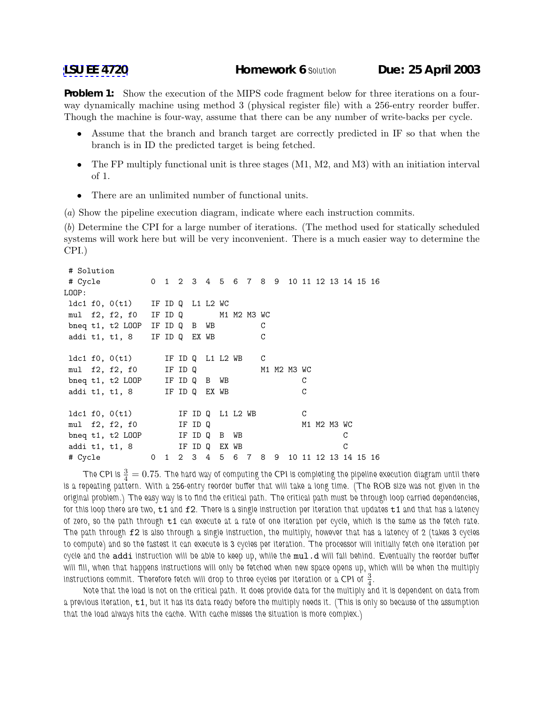**Problem 1:** Show the execution of the MIPS code fragment below for three iterations on a fourway dynamically machine using method 3 (physical register file) with a 256-entry reorder buffer. Though the machine is four-way, assume that there can be any number of write-backs per cycle.

- Assume that the branch and branch target are correctly predicted in IF so that when the branch is in ID the predicted target is being fetched.
- The FP multiply functional unit is three stages (M1, M2, and M3) with an initiation interval of 1.
- There are an unlimited number of functional units.

(a) Show the pipeline execution diagram, indicate where each instruction commits.

(b) Determine the CPI for a large number of iterations. (The method used for statically scheduled systems will work here but will be very inconvenient. There is a much easier way to determine the CPI.)

```
# Solution
# Cycle 0 1 2 3 4 5 6 7 8 9 10 11 12 13 14 15 16
LOOP:
ldc1 f0, 0(t1) IF ID Q L1 L2 WC
mul f2, f2, f0 IF ID Q M1 M2 M3 WC
bneq t1, t2 LOOP IF ID Q B WB C
addi t1, t1, 8 IF ID Q EX WB C
ldc1 f0, 0(t1) IF ID Q L1 L2 WB C
mul f2, f2, f0 IF ID Q 			 M1 M2 M3 WC
bneq t1, t2 LOOP IF ID Q B WB C
addi t1, t1, 8 IF ID Q EX WB C
1dc1 f0, 0(t1) IF ID Q L1 L2 WB C
mul f2, f2, f0 IF ID Q M1 M2 M3 WC
bneq t1, t2 LOOP IF ID Q B WB C
addi t1, t1, 8 IF ID Q EX WB C
# Cycle 0 1 2 3 4 5 6 7 8 9 10 11 12 13 14 15 16
```
The CPI is  $\frac{3}{4}=0.75.$  The hard way of computing the CPI is completing the pipeline execution diagram until there *is a repeating pattern. With a 256-entry reorder buffer that will take a long time. (The ROB size was not given in the original problem.) The easy way is to find the critical path. The critical path must be through loop carried dependencies, for this loop there are two,* t1 *and* f2*. There is a single instruction per iteration that updates* t1 *and that has a latency of zero, so the path through* t1 *can execute at a rate of one iteration per cycle, which is the same as the fetch rate. The path through* f2 *is also through a single instruction, the multiply, however that has a latency of 2 (takes 3 cycles to compute) and so the fastest it can execute is 3 cycles per iteration. The processor will initially fetch one iteration per cycle and the* addi *instruction will be able to keep up, while the* mul.d *will fall behind. Eventually the reorder buffer will fill, when that happens instructions will only be fetched when new space opens up, which will be when the multiply* instructions commit. Therefore fetch will drop to three cycles per iteration or a CPI of  $\frac{3}{4}$ .

*Note that the load is not on the critical path. It does provide data for the multiply and it is dependent on data from a previous iteration,* t1*, but it has its data ready before the multiply needs it. (This is only so because of the assumption that the load always hits the cache. With cache misses the situation is more complex.)*